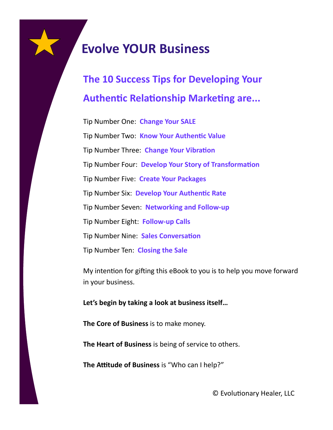## **The 10 Success Tips for Developing Your Authentic Relationship Marketing are...**

Tip Number One: **Change Your SALE** Tip Number Two: **Know Your Authentic Value** Tip Number Three: **Change Your Vibration** Tip Number Four: **Develop Your Story of Transformation** Tip Number Five: **Create Your Packages** Tip Number Six: **Develop Your Authentic Rate** Tip Number Seven: **Networking and Follow-up** Tip Number Eight: **Follow-up Calls** Tip Number Nine: **Sales Conversation** Tip Number Ten: **Closing the Sale**

My intention for gifting this eBook to you is to help you move forward in your business.

#### **Let's begin by taking a look at business itself…**

**The Core of Business** is to make money.

**The Heart of Business** is being of service to others.

**The Attitude of Business** is "Who can I help?"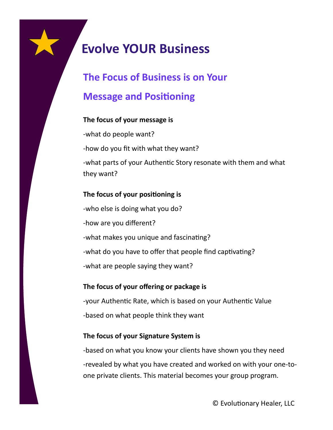# **The Focus of Business is on Your**

### **Message and Positioning**

#### **The focus of your message is**

-what do people want? -how do you fit with what they want? -what parts of your Authentic Story resonate with them and what they want?

#### **The focus of your positioning is**

-who else is doing what you do? -how are you different? -what makes you unique and fascinating? -what do you have to offer that people find captivating? -what are people saying they want?

#### **The focus of your offering or package is**

-your Authentic Rate, which is based on your Authentic Value -based on what people think they want

#### **The focus of your Signature System is**

-based on what you know your clients have shown you they need -revealed by what you have created and worked on with your one-toone private clients. This material becomes your group program.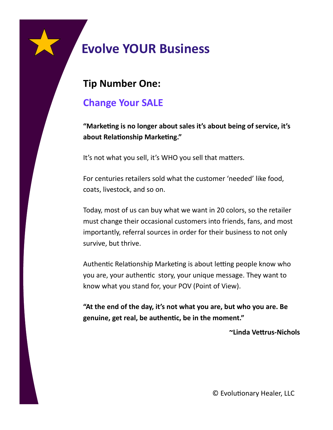### **Tip Number One:**

### **Change Your SALE**

**"Marketing is no longer about sales it's about being of service, it's about Relationship Marketing."**

It's not what you sell, it's WHO you sell that matters.

For centuries retailers sold what the customer 'needed' like food, coats, livestock, and so on.

Today, most of us can buy what we want in 20 colors, so the retailer must change their occasional customers into friends, fans, and most importantly, referral sources in order for their business to not only survive, but thrive.

Authentic Relationship Marketing is about letting people know who you are, your authentic story, your unique message. They want to know what you stand for, your POV (Point of View).

**"At the end of the day, it's not what you are, but who you are. Be genuine, get real, be authentic, be in the moment."** 

**~Linda Vettrus-Nichols**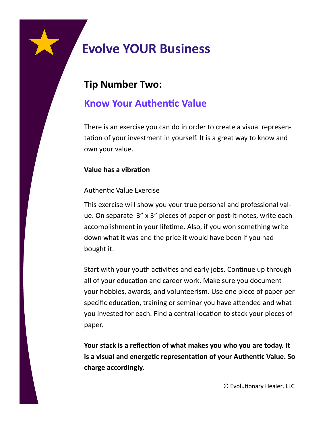### **Tip Number Two:**

### **Know Your Authentic Value**

There is an exercise you can do in order to create a visual representation of your investment in yourself. It is a great way to know and own your value.

#### **Value has a vibration**

#### Authentic Value Exercise

This exercise will show you your true personal and professional value. On separate 3" x 3" pieces of paper or post-it-notes, write each accomplishment in your lifetime. Also, if you won something write down what it was and the price it would have been if you had bought it.

Start with your youth activities and early jobs. Continue up through all of your education and career work. Make sure you document your hobbies, awards, and volunteerism. Use one piece of paper per specific education, training or seminar you have attended and what you invested for each. Find a central location to stack your pieces of paper.

**Your stack is a reflection of what makes you who you are today. It is a visual and energetic representation of your Authentic Value. So charge accordingly.**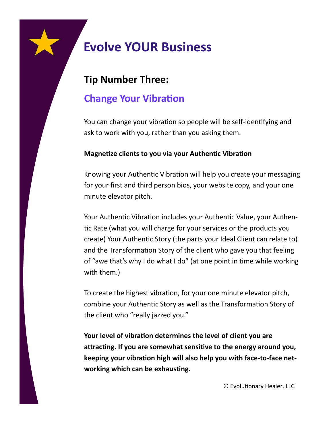### **Tip Number Three:**

### **Change Your Vibration**

You can change your vibration so people will be self-identifying and ask to work with you, rather than you asking them.

#### **Magnetize clients to you via your Authentic Vibration**

Knowing your Authentic Vibration will help you create your messaging for your first and third person bios, your website copy, and your one minute elevator pitch.

Your Authentic Vibration includes your Authentic Value, your Authentic Rate (what you will charge for your services or the products you create) Your Authentic Story (the parts your Ideal Client can relate to) and the Transformation Story of the client who gave you that feeling of "awe that's why I do what I do" (at one point in time while working with them.)

To create the highest vibration, for your one minute elevator pitch, combine your Authentic Story as well as the Transformation Story of the client who "really jazzed you."

**Your level of vibration determines the level of client you are attracting. If you are somewhat sensitive to the energy around you, keeping your vibration high will also help you with face-to-face networking which can be exhausting.**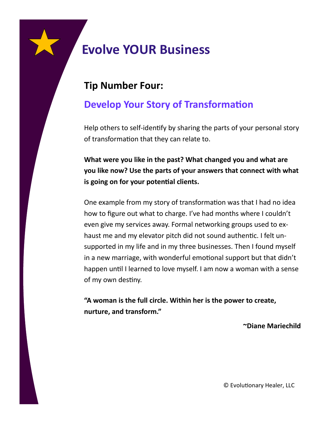### **Tip Number Four:**

### **Develop Your Story of Transformation**

Help others to self-identify by sharing the parts of your personal story of transformation that they can relate to.

**What were you like in the past? What changed you and what are you like now? Use the parts of your answers that connect with what is going on for your potential clients.**

One example from my story of transformation was that I had no idea how to figure out what to charge. I've had months where I couldn't even give my services away. Formal networking groups used to exhaust me and my elevator pitch did not sound authentic. I felt unsupported in my life and in my three businesses. Then I found myself in a new marriage, with wonderful emotional support but that didn't happen until I learned to love myself. I am now a woman with a sense of my own destiny.

**"A woman is the full circle. Within her is the power to create, nurture, and transform."**

**~Diane Mariechild**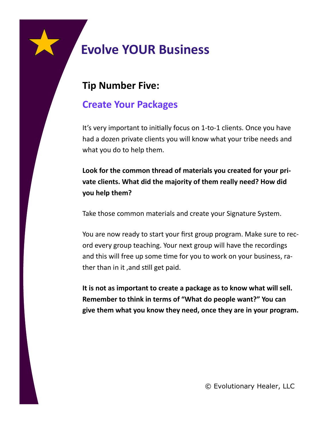### **Tip Number Five:**

### **Create Your Packages**

It's very important to initially focus on 1-to-1 clients. Once you have had a dozen private clients you will know what your tribe needs and what you do to help them.

**Look for the common thread of materials you created for your private clients. What did the majority of them really need? How did you help them?**

Take those common materials and create your Signature System.

You are now ready to start your first group program. Make sure to record every group teaching. Your next group will have the recordings and this will free up some time for you to work on your business, rather than in it ,and still get paid.

**It is not as important to create a package as to know what will sell. Remember to think in terms of "What do people want?" You can give them what you know they need, once they are in your program.**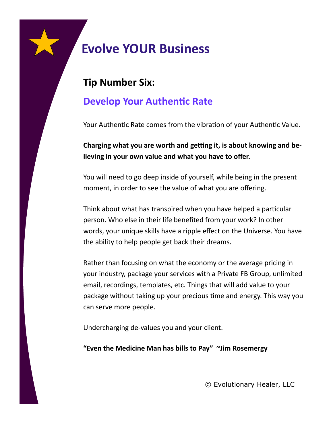### **Tip Number Six:**

### **Develop Your Authentic Rate**

Your Authentic Rate comes from the vibration of your Authentic Value.

**Charging what you are worth and getting it, is about knowing and believing in your own value and what you have to offer.**

You will need to go deep inside of yourself, while being in the present moment, in order to see the value of what you are offering.

Think about what has transpired when you have helped a particular person. Who else in their life benefited from your work? In other words, your unique skills have a ripple effect on the Universe. You have the ability to help people get back their dreams.

Rather than focusing on what the economy or the average pricing in your industry, package your services with a Private FB Group, unlimited email, recordings, templates, etc. Things that will add value to your package without taking up your precious time and energy. This way you can serve more people.

Undercharging de-values you and your client.

**"Even the Medicine Man has bills to Pay" ~Jim Rosemergy**

© Evolutionary Healer, LLC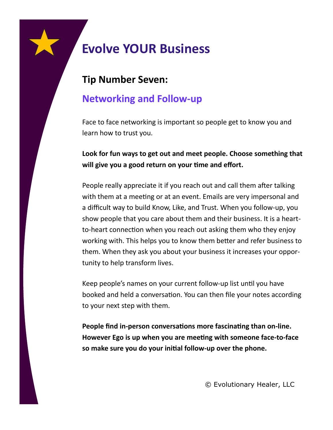### **Tip Number Seven:**

### **Networking and Follow-up**

Face to face networking is important so people get to know you and learn how to trust you.

**Look for fun ways to get out and meet people. Choose something that will give you a good return on your time and effort.**

People really appreciate it if you reach out and call them after talking with them at a meeting or at an event. Emails are very impersonal and a difficult way to build Know, Like, and Trust. When you follow-up, you show people that you care about them and their business. It is a heartto-heart connection when you reach out asking them who they enjoy working with. This helps you to know them better and refer business to them. When they ask you about your business it increases your opportunity to help transform lives.

Keep people's names on your current follow-up list until you have booked and held a conversation. You can then file your notes according to your next step with them.

**People find in-person conversations more fascinating than on-line. However Ego is up when you are meeting with someone face-to-face so make sure you do your initial follow-up over the phone.**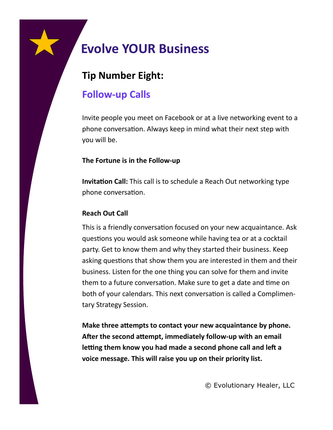### **Tip Number Eight:**

### **Follow-up Calls**

Invite people you meet on Facebook or at a live networking event to a phone conversation. Always keep in mind what their next step with you will be.

#### **The Fortune is in the Follow-up**

**Invitation Call:** This call is to schedule a Reach Out networking type phone conversation.

#### **Reach Out Call**

This is a friendly conversation focused on your new acquaintance. Ask questions you would ask someone while having tea or at a cocktail party. Get to know them and why they started their business. Keep asking questions that show them you are interested in them and their business. Listen for the one thing you can solve for them and invite them to a future conversation. Make sure to get a date and time on both of your calendars. This next conversation is called a Complimentary Strategy Session.

**Make three attempts to contact your new acquaintance by phone. After the second attempt, immediately follow-up with an email letting them know you had made a second phone call and left a voice message. This will raise you up on their priority list.**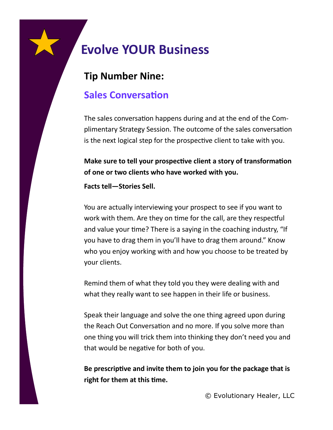### **Tip Number Nine:**

### **Sales Conversation**

The sales conversation happens during and at the end of the Complimentary Strategy Session. The outcome of the sales conversation is the next logical step for the prospective client to take with you.

**Make sure to tell your prospective client a story of transformation of one or two clients who have worked with you.** 

**Facts tell—Stories Sell.**

You are actually interviewing your prospect to see if you want to work with them. Are they on time for the call, are they respectful and value your time? There is a saying in the coaching industry, "If you have to drag them in you'll have to drag them around." Know who you enjoy working with and how you choose to be treated by your clients.

Remind them of what they told you they were dealing with and what they really want to see happen in their life or business.

Speak their language and solve the one thing agreed upon during the Reach Out Conversation and no more. If you solve more than one thing you will trick them into thinking they don't need you and that would be negative for both of you.

**Be prescriptive and invite them to join you for the package that is right for them at this time.**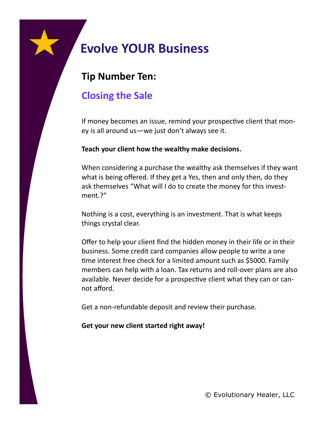### **Tip Number Ten:**

### **Closing the Sale**

If money becomes an issue, remind your prospective client that money is all around us—we just don't always see it.

#### **Teach your client how the wealthy make decisions.**

When considering a purchase the wealthy ask themselves if they want what is being offered. If they get a Yes, then and only then, do they ask themselves "What will I do to create the money for this investment.?"

Nothing is a cost, everything is an investment. That is what keeps things crystal clear.

Offer to help your client find the hidden money in their life or in their business. Some credit card companies allow people to write a one time interest free check for a limited amount such as \$5000. Family members can help with a loan. Tax returns and roll-over plans are also available. Never decide for a prospective client what they can or cannot afford.

Get a non-refundable deposit and review their purchase.

#### **Get your new client started right away!**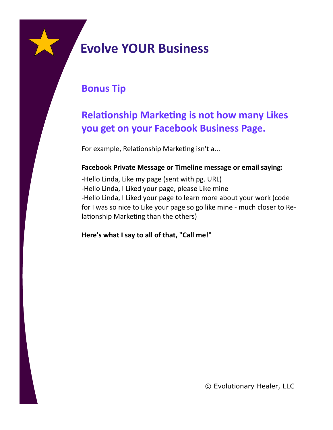

### **Bonus Tip**

### **Relationship Marketing is not how many Likes you get on your Facebook Business Page.**

For example, Relationship Marketing isn't a...

#### **Facebook Private Message or Timeline message or email saying:**

-Hello Linda, Like my page (sent with pg. URL) -Hello Linda, I Liked your page, please Like mine -Hello Linda, I Liked your page to learn more about your work (code for I was so nice to Like your page so go like mine - much closer to Relationship Marketing than the others)

**Here's what I say to all of that, "Call me!"**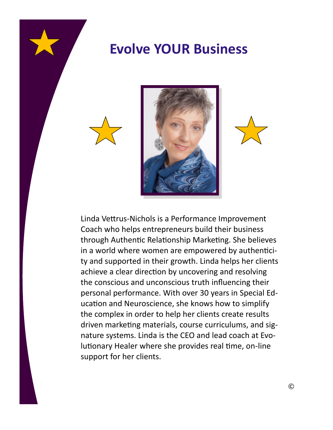





Linda Vettrus-Nichols is a Performance Improvement Coach who helps entrepreneurs build their business through Authentic Relationship Marketing. She believes in a world where women are empowered by authenticity and supported in their growth. Linda helps her clients achieve a clear direction by uncovering and resolving the conscious and unconscious truth influencing their personal performance. With over 30 years in Special Education and Neuroscience, she knows how to simplify the complex in order to help her clients create results driven marketing materials, course curriculums, and signature systems. Linda is the CEO and lead coach at Evolutionary Healer where she provides real time, on-line support for her clients.